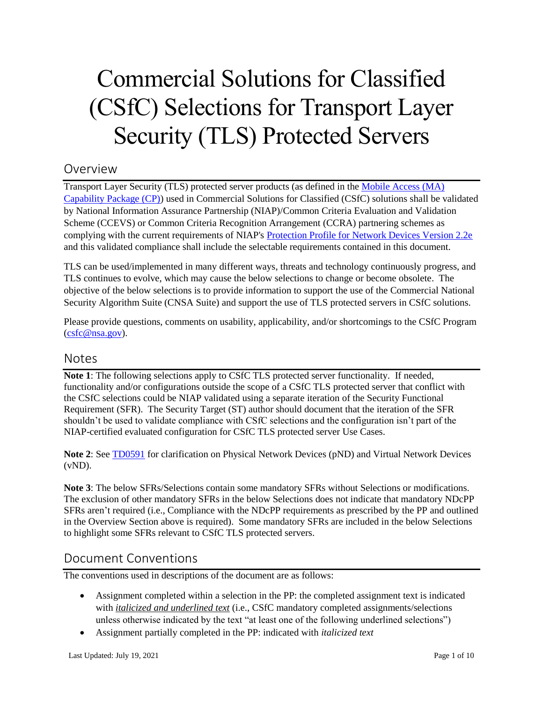# Commercial Solutions for Classified (CSfC) Selections for Transport Layer Security (TLS) Protected Servers

# Overview

Transport Layer Security (TLS) protected server products (as defined in th[e Mobile Access \(MA\)](https://www.nsa.gov/Resources/Commercial-Solutions-for-Classified-Program/Capability-Packages/#mobile-access)  [Capability Package \(CP\)\)](https://www.nsa.gov/Resources/Commercial-Solutions-for-Classified-Program/Capability-Packages/#mobile-access) used in Commercial Solutions for Classified (CSfC) solutions shall be validated by National Information Assurance Partnership (NIAP)/Common Criteria Evaluation and Validation Scheme (CCEVS) or Common Criteria Recognition Arrangement (CCRA) partnering schemes as complying with the current requirements of NIAP's [Protection Profile for Network Devices Version 2.2e](https://www.niap-ccevs.org/Profile/Info.cfm?PPID=447&id=447) and this validated compliance shall include the selectable requirements contained in this document.

TLS can be used/implemented in many different ways, threats and technology continuously progress, and TLS continues to evolve, which may cause the below selections to change or become obsolete. The objective of the below selections is to provide information to support the use of the Commercial National Security Algorithm Suite (CNSA Suite) and support the use of TLS protected servers in CSfC solutions.

Please provide questions, comments on usability, applicability, and/or shortcomings to the CSfC Program [\(csfc@nsa.gov\)](mailto:csfc@nsa.gov).

# Notes

**Note 1**: The following selections apply to CSfC TLS protected server functionality. If needed, functionality and/or configurations outside the scope of a CSfC TLS protected server that conflict with the CSfC selections could be NIAP validated using a separate iteration of the Security Functional Requirement (SFR). The Security Target (ST) author should document that the iteration of the SFR shouldn't be used to validate compliance with CSfC selections and the configuration isn't part of the NIAP-certified evaluated configuration for CSfC TLS protected server Use Cases.

**Note 2**: Se[e TD0591](https://www.niap-ccevs.org/Documents_and_Guidance/view_td.cfm?TD=0591) for clarification on Physical Network Devices (pND) and Virtual Network Devices  $(vND)$ .

**Note 3**: The below SFRs/Selections contain some mandatory SFRs without Selections or modifications. The exclusion of other mandatory SFRs in the below Selections does not indicate that mandatory NDcPP SFRs aren't required (i.e., Compliance with the NDcPP requirements as prescribed by the PP and outlined in the Overview Section above is required). Some mandatory SFRs are included in the below Selections to highlight some SFRs relevant to CSfC TLS protected servers.

# Document Conventions

The conventions used in descriptions of the document are as follows:

- Assignment completed within a selection in the PP: the completed assignment text is indicated with *italicized and underlined text* (i.e., CSfC mandatory completed assignments/selections unless otherwise indicated by the text "at least one of the following underlined selections")
- Assignment partially completed in the PP: indicated with *italicized text*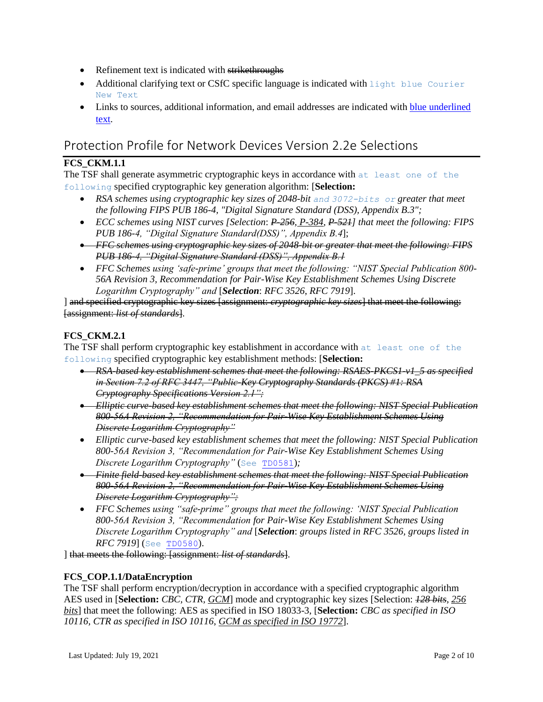- Refinement text is indicated with strikethroughs
- Additional clarifying text or CSfC specific language is indicated with light blue Courier New Text
- Links to sources, additional information, and email addresses are indicated with blue underlined text.

# Protection Profile for Network Devices Version 2.2e Selections

# **FCS\_CKM.1.1**

The TSF shall generate asymmetric cryptographic keys in accordance with at least one of the following specified cryptographic key generation algorithm: [**Selection:**

- **•** RSA schemes using cryptographic key sizes of 2048-bit and 3072-bits or greater that meet *the following FIPS PUB 186-4, "Digital Signature Standard (DSS), Appendix B.3";*
- *ECC schemes using NIST curves [Selection*: *P-256, P-384, P-521] that meet the following: FIPS PUB 186-4, "Digital Signature Standard(DSS)", Appendix B.4*];
- *FFC schemes using cryptographic key sizes of 2048-bit or greater that meet the following: FIPS PUB 186-4, "Digital Signature Standard (DSS)", Appendix B.1*
- *FFC Schemes using 'safe-prime' groups that meet the following: "NIST Special Publication 800- 56A Revision 3, Recommendation for Pair-Wise Key Establishment Schemes Using Discrete Logarithm Cryptography" and* [*Selection*: *RFC 3526*, *RFC 7919*].

] and specified cryptographic key sizes [assignment: *cryptographic key sizes*] that meet the following: [assignment: *list of standards*].

# **FCS\_CKM.2.1**

The TSF shall perform cryptographic key establishment in accordance with at least one of the following specified cryptographic key establishment methods: [**Selection:**

- *RSA-based key establishment schemes that meet the following: RSAES-PKCS1-v1\_5 as specified in Section 7.2 of RFC 3447, "Public-Key Cryptography Standards (PKCS) #1: RSA Cryptography Specifications Version 2.1";*
- *Elliptic curve-based key establishment schemes that meet the following: NIST Special Publication 800-56A Revision 2, "Recommendation for Pair-Wise Key Establishment Schemes Using Discrete Logarithm Cryptography"*
- *Elliptic curve-based key establishment schemes that meet the following: NIST Special Publication 800-56A Revision 3, "Recommendation for Pair-Wise Key Establishment Schemes Using Discrete Logarithm Cryptography"* (See [TD0581](https://www.niap-ccevs.org/Documents_and_Guidance/view_td.cfm?TD=0581))*;*
- *Finite field-based key establishment schemes that meet the following: NIST Special Publication 800-56A Revision 2, "Recommendation for Pair-Wise Key Establishment Schemes Using Discrete Logarithm Cryptography";*
- *FFC Schemes using "safe-prime" groups that meet the following: 'NIST Special Publication 800-56A Revision 3, "Recommendation for Pair-Wise Key Establishment Schemes Using Discrete Logarithm Cryptography" and* [*Selection*: *groups listed in RFC 3526, groups listed in RFC 7919*] (See [TD0580](https://www.niap-ccevs.org/Documents_and_Guidance/view_td.cfm?TD=0580)).

] that meets the following: [assignment: *list of standards*].

# **FCS\_COP.1.1/DataEncryption**

The TSF shall perform encryption/decryption in accordance with a specified cryptographic algorithm AES used in [**Selection:** *CBC, CTR, GCM*] mode and cryptographic key sizes [Selection: *128 bits*, *256 bits*] that meet the following: AES as specified in ISO 18033-3, [**Selection:** *CBC as specified in ISO 10116, CTR as specified in ISO 10116*, *GCM as specified in ISO 19772*].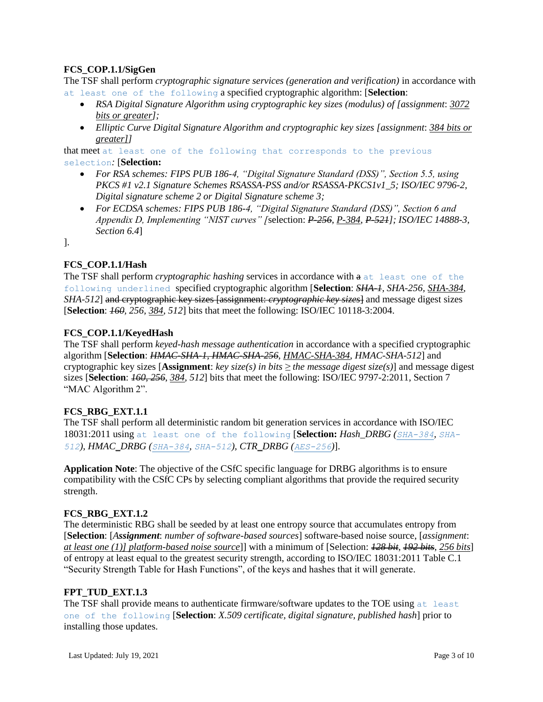# **FCS\_COP.1.1/SigGen**

The TSF shall perform *cryptographic signature services (generation and verification)* in accordance with at least one of the following a specified cryptographic algorithm: [**Selection**:

- *RSA Digital Signature Algorithm using cryptographic key sizes (modulus) of [assignment*: *3072 bits or greater];*
- *Elliptic Curve Digital Signature Algorithm and cryptographic key sizes [assignment*: *384 bits or greater]]*

that meet at least one of the following that corresponds to the previous selection*:* [**Selection:**

- *For RSA schemes: FIPS PUB 186-4, "Digital Signature Standard (DSS)", Section 5.5, using PKCS #1 v2.1 Signature Schemes RSASSA-PSS and/or RSASSA-PKCS1v1\_5; ISO/IEC 9796-2, Digital signature scheme 2 or Digital Signature scheme 3;*
- *For ECDSA schemes: FIPS PUB 186-4, "Digital Signature Standard (DSS)", Section 6 and Appendix D, Implementing "NIST curves" [*selection: *P-256*, *P-384*, *P-521]; ISO/IEC 14888-3, Section 6.4*]

].

# **FCS\_COP.1.1/Hash**

The TSF shall perform *cryptographic hashing* services in accordance with a at least one of the following underlined specified cryptographic algorithm [**Selection**: *SHA-1, SHA-256, SHA-384, SHA-512*] and cryptographic key sizes [assignment: *cryptographic key sizes*] and message digest sizes [**Selection**: *160, 256, 384, 512*] bits that meet the following: ISO/IEC 10118-3:2004.

# **FCS\_COP.1.1/KeyedHash**

The TSF shall perform *keyed-hash message authentication* in accordance with a specified cryptographic algorithm [**Selection**: *HMAC-SHA-1, HMAC-SHA-256*, *HMAC-SHA-384, HMAC-SHA-512*] and cryptographic key sizes [**Assignment**: *key size(s) in bits*  $\geq$  *the message digest size(s)*] and message digest sizes [**Selection**: *160, 256*, *384, 512*] bits that meet the following: ISO/IEC 9797-2:2011, Section 7 "MAC Algorithm 2".

# **FCS\_RBG\_EXT.1.1**

The TSF shall perform all deterministic random bit generation services in accordance with ISO/IEC 18031:2011 using at least one of the following [**Selection:** *Hash\_DRBG (SHA-384, SHA-512)*, *HMAC\_DRBG (SHA-384, SHA-512), CTR\_DRBG (AES-256)*].

**Application Note**: The objective of the CSfC specific language for DRBG algorithms is to ensure compatibility with the CSfC CPs by selecting compliant algorithms that provide the required security strength.

# **FCS\_RBG\_EXT.1.2**

The deterministic RBG shall be seeded by at least one entropy source that accumulates entropy from [**Selection**: [*Assignment*: *number of software-based sources*] software-based noise source, [*assignment*: *at least one (1)] platform-based noise source*]] with a minimum of [Selection: *128 bit*, *192 bits*, *256 bits*] of entropy at least equal to the greatest security strength, according to ISO/IEC 18031:2011 Table C.1 "Security Strength Table for Hash Functions", of the keys and hashes that it will generate.

# **FPT\_TUD\_EXT.1.3**

The TSF shall provide means to authenticate firmware/software updates to the TOE using at least one of the following [**Selection**: *X.509 certificate, digital signature, published hash*] prior to installing those updates.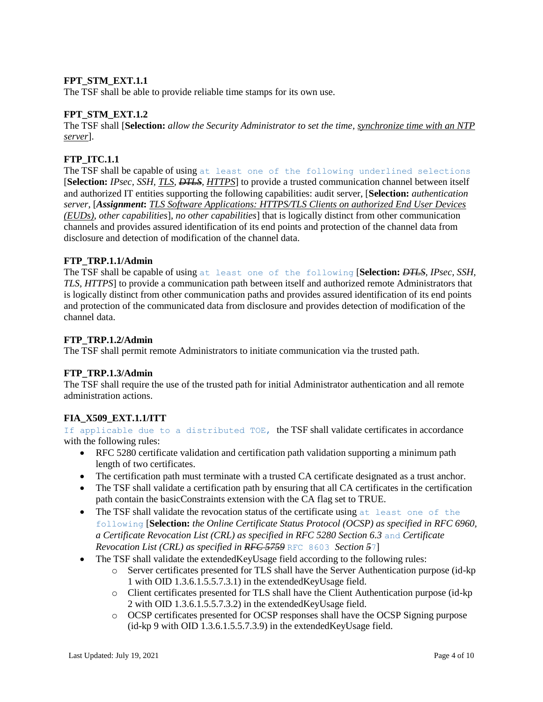# FPT STM EXT.1.1

The TSF shall be able to provide reliable time stamps for its own use.

# FPT STM EXT.1.2

The TSF shall [**Selection:** *allow the Security Administrator to set the time, synchronize time with an NTP server*].

## **FTP\_ITC.1.1**

The TSF shall be capable of using at least one of the following underlined selections [**Selection:** *IPsec, SSH, TLS, DTLS, HTTPS*] to provide a trusted communication channel between itself and authorized IT entities supporting the following capabilities: audit server, [**Selection:** *authentication server*, [*Assignment***:** *TLS Software Applications: HTTPS/TLS Clients on authorized End User Devices (EUDs)*, *other capabilities*], *no other capabilities*] that is logically distinct from other communication channels and provides assured identification of its end points and protection of the channel data from disclosure and detection of modification of the channel data.

#### **FTP\_TRP.1.1/Admin**

The TSF shall be capable of using at least one of the following [**Selection:** *DTLS, IPsec, SSH, TLS, HTTPS*] to provide a communication path between itself and authorized remote Administrators that is logically distinct from other communication paths and provides assured identification of its end points and protection of the communicated data from disclosure and provides detection of modification of the channel data.

#### **FTP\_TRP.1.2/Admin**

The TSF shall permit remote Administrators to initiate communication via the trusted path.

# **FTP\_TRP.1.3/Admin**

The TSF shall require the use of the trusted path for initial Administrator authentication and all remote administration actions.

# **FIA\_X509\_EXT.1.1/ITT**

If applicable due to a distributed TOE, the TSF shall validate certificates in accordance with the following rules:

- RFC 5280 certificate validation and certification path validation supporting a minimum path length of two certificates.
- The certification path must terminate with a trusted CA certificate designated as a trust anchor.
- The TSF shall validate a certification path by ensuring that all CA certificates in the certification path contain the basicConstraints extension with the CA flag set to TRUE.
- The TSF shall validate the revocation status of the certificate using at least one of the following [**Selection:** *the Online Certificate Status Protocol (OCSP) as specified in RFC 6960, a Certificate Revocation List (CRL) as specified in RFC 5280 Section 6.3* and *Certificate Revocation List (CRL) as specified in RFC 5759* RFC 8603 *Section 5*7]
- The TSF shall validate the extendedKeyUsage field according to the following rules:
	- o Server certificates presented for TLS shall have the Server Authentication purpose (id-kp 1 with OID 1.3.6.1.5.5.7.3.1) in the extendedKeyUsage field.
	- o Client certificates presented for TLS shall have the Client Authentication purpose (id-kp 2 with OID 1.3.6.1.5.5.7.3.2) in the extendedKeyUsage field.
	- o OCSP certificates presented for OCSP responses shall have the OCSP Signing purpose (id-kp 9 with OID 1.3.6.1.5.5.7.3.9) in the extendedKeyUsage field.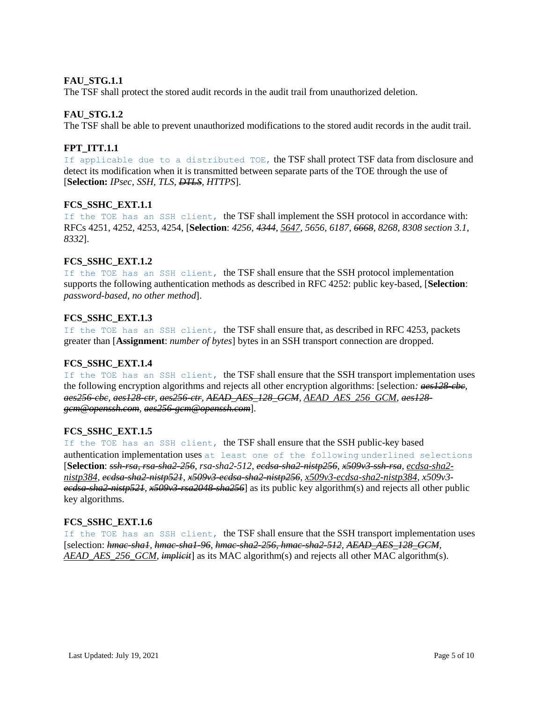## **FAU\_STG.1.1**

The TSF shall protect the stored audit records in the audit trail from unauthorized deletion.

#### **FAU\_STG.1.2**

The TSF shall be able to prevent unauthorized modifications to the stored audit records in the audit trail.

#### **FPT\_ITT.1.1**

If applicable due to a distributed TOE, the TSF shall protect TSF data from disclosure and detect its modification when it is transmitted between separate parts of the TOE through the use of [**Selection:** *IPsec, SSH, TLS, DTLS, HTTPS*].

# **FCS\_SSHC\_EXT.1.1**

If the TOE has an SSH client, the TSF shall implement the SSH protocol in accordance with: RFCs 4251, 4252, 4253, 4254, [**Selection**: *4256, 4344, 5647, 5656, 6187, 6668, 8268, 8308 section 3.1, 8332*].

# **FCS\_SSHC\_EXT.1.2**

If the TOE has an SSH client, the TSF shall ensure that the SSH protocol implementation supports the following authentication methods as described in RFC 4252: public key-based, [**Selection**: *password-based*, *no other method*].

#### **FCS\_SSHC\_EXT.1.3**

If the TOE has an SSH client, the TSF shall ensure that, as described in RFC 4253, packets greater than [**Assignment**: *number of bytes*] bytes in an SSH transport connection are dropped.

#### **FCS\_SSHC\_EXT.1.4**

If the TOE has an SSH client, the TSF shall ensure that the SSH transport implementation uses the following encryption algorithms and rejects all other encryption algorithms: [selection*: aes128-cbc, aes256-cbc, aes128-ctr, aes256-ctr, AEAD\_AES\_128\_GCM, AEAD\_AES\_256\_GCM, aes128 gcm@openssh.com, aes256-gcm@openssh.com*].

# **FCS\_SSHC\_EXT.1.5**

If the TOE has an SSH client, the TSF shall ensure that the SSH public-key based authentication implementation uses at least one of the following underlined selections [**Selection**: *ssh-rsa, rsa-sha2-256, rsa-sha2-512, ecdsa-sha2-nistp256, x509v3-ssh-rsa, ecdsa-sha2 nistp384, ecdsa-sha2-nistp521, x509v3-ecdsa-sha2-nistp256, x509v3-ecdsa-sha2-nistp384, x509v3 ecdsa-sha2-nistp521, x509v3-rsa2048-sha256*] as its public key algorithm(s) and rejects all other public key algorithms.

#### **FCS\_SSHC\_EXT.1.6**

If the TOE has an SSH client, the TSF shall ensure that the SSH transport implementation uses [selection: *hmac-sha1, hmac-sha1-96, hmac-sha2-256, hmac-sha2-512, AEAD\_AES\_128\_GCM, AEAD\_AES\_256\_GCM, implicit*] as its MAC algorithm(s) and rejects all other MAC algorithm(s).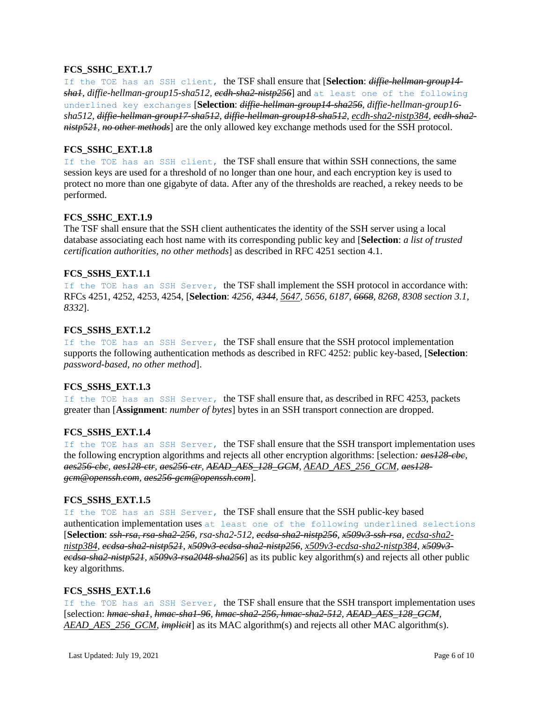#### **FCS\_SSHC\_EXT.1.7**

If the TOE has an SSH client, the TSF shall ensure that [**Selection**: *diffie-hellman-group14 sha1, diffie-hellman-group15-sha512, ecdh-sha2-nistp256*] and at least one of the following underlined key exchanges [**Selection**: *diffie-hellman-group14-sha256, diffie-hellman-group16 sha512, diffie-hellman-group17-sha512, diffie-hellman-group18-sha512, ecdh-sha2-nistp384, ecdh-sha2 nistp521, no other methods*] are the only allowed key exchange methods used for the SSH protocol.

#### **FCS\_SSHC\_EXT.1.8**

If the TOE has an SSH client, the TSF shall ensure that within SSH connections, the same session keys are used for a threshold of no longer than one hour, and each encryption key is used to protect no more than one gigabyte of data. After any of the thresholds are reached, a rekey needs to be performed.

#### **FCS\_SSHC\_EXT.1.9**

The TSF shall ensure that the SSH client authenticates the identity of the SSH server using a local database associating each host name with its corresponding public key and [**Selection**: *a list of trusted certification authorities, no other methods*] as described in RFC 4251 section 4.1.

#### **FCS\_SSHS\_EXT.1.1**

If the TOE has an SSH Server, the TSF shall implement the SSH protocol in accordance with: RFCs 4251, 4252, 4253, 4254, [**Selection**: *4256, 4344, 5647, 5656, 6187, 6668, 8268, 8308 section 3.1, 8332*].

#### **FCS\_SSHS\_EXT.1.2**

If the TOE has an SSH Server, the TSF shall ensure that the SSH protocol implementation supports the following authentication methods as described in RFC 4252: public key-based, [**Selection**: *password-based*, *no other method*].

# **FCS\_SSHS\_EXT.1.3**

If the TOE has an SSH Server, the TSF shall ensure that, as described in RFC 4253, packets greater than [**Assignment**: *number of bytes*] bytes in an SSH transport connection are dropped.

#### **FCS\_SSHS\_EXT.1.4**

If the TOE has an SSH Server, the TSF shall ensure that the SSH transport implementation uses the following encryption algorithms and rejects all other encryption algorithms: [selection*: aes128-cbc, aes256-cbc, aes128-ctr, aes256-ctr, AEAD\_AES\_128\_GCM, AEAD\_AES\_256\_GCM, aes128 gcm@openssh.com, aes256-gcm@openssh.com*].

#### **FCS\_SSHS\_EXT.1.5**

If the TOE has an SSH Server, the TSF shall ensure that the SSH public-key based authentication implementation uses at least one of the following underlined selections [**Selection**: *ssh-rsa, rsa-sha2-256, rsa-sha2-512, ecdsa-sha2-nistp256, x509v3-ssh-rsa, ecdsa-sha2 nistp384, ecdsa-sha2-nistp521, x509v3-ecdsa-sha2-nistp256, x509v3-ecdsa-sha2-nistp384, x509v3 ecdsa-sha2-nistp521, x509v3-rsa2048-sha256*] as its public key algorithm(s) and rejects all other public key algorithms.

#### **FCS\_SSHS\_EXT.1.6**

If the TOE has an SSH Server, the TSF shall ensure that the SSH transport implementation uses [selection: *hmac-sha1, hmac-sha1-96, hmac-sha2-256, hmac-sha2-512, AEAD\_AES\_128\_GCM, AEAD\_AES\_256\_GCM, implicit*] as its MAC algorithm(s) and rejects all other MAC algorithm(s).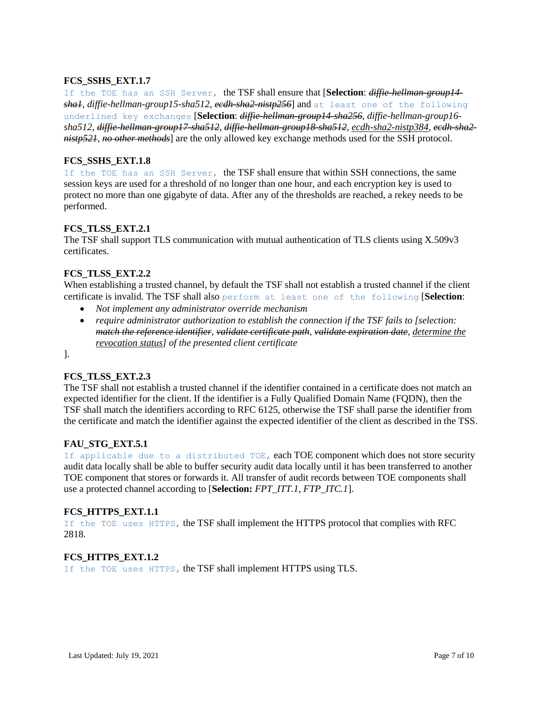# **FCS\_SSHS\_EXT.1.7**

If the TOE has an SSH Server, the TSF shall ensure that [**Selection**: *diffie-hellman-group14 sha1, diffie-hellman-group15-sha512, ecdh-sha2-nistp256*] and at least one of the following underlined key exchanges [**Selection**: *diffie-hellman-group14-sha256, diffie-hellman-group16 sha512, diffie-hellman-group17-sha512, diffie-hellman-group18-sha512, ecdh-sha2-nistp384, ecdh-sha2 nistp521, no other methods*] are the only allowed key exchange methods used for the SSH protocol.

# **FCS\_SSHS\_EXT.1.8**

If the TOE has an SSH Server, the TSF shall ensure that within SSH connections, the same session keys are used for a threshold of no longer than one hour, and each encryption key is used to protect no more than one gigabyte of data. After any of the thresholds are reached, a rekey needs to be performed.

# **FCS\_TLSS\_EXT.2.1**

The TSF shall support TLS communication with mutual authentication of TLS clients using X.509v3 certificates.

#### **FCS\_TLSS\_EXT.2.2**

When establishing a trusted channel, by default the TSF shall not establish a trusted channel if the client certificate is invalid. The TSF shall also perform at least one of the following [**Selection**:

- *Not implement any administrator override mechanism*
- *require administrator authorization to establish the connection if the TSF fails to [selection: match the reference identifier, validate certificate path, validate expiration date, determine the revocation status] of the presented client certificate*

].

# **FCS\_TLSS\_EXT.2.3**

The TSF shall not establish a trusted channel if the identifier contained in a certificate does not match an expected identifier for the client. If the identifier is a Fully Qualified Domain Name (FQDN), then the TSF shall match the identifiers according to RFC 6125, otherwise the TSF shall parse the identifier from the certificate and match the identifier against the expected identifier of the client as described in the TSS.

# **FAU\_STG\_EXT.5.1**

If applicable due to a distributed TOE, each TOE component which does not store security audit data locally shall be able to buffer security audit data locally until it has been transferred to another TOE component that stores or forwards it. All transfer of audit records between TOE components shall use a protected channel according to [**Selection:** *FPT\_ITT.1, FTP\_ITC.1*].

#### **FCS\_HTTPS\_EXT.1.1**

If the TOE uses HTTPS, the TSF shall implement the HTTPS protocol that complies with RFC 2818.

#### **FCS\_HTTPS\_EXT.1.2**

If the TOE uses HTTPS, the TSF shall implement HTTPS using TLS.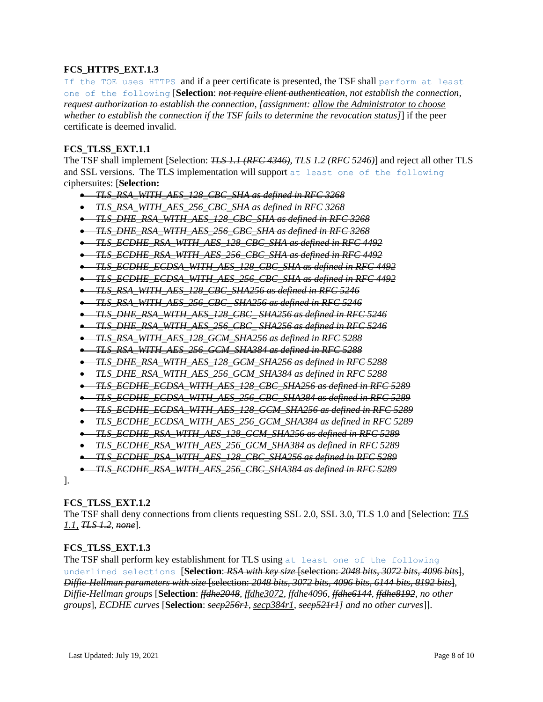# **FCS\_HTTPS\_EXT.1.3**

If the TOE uses HTTPS and if a peer certificate is presented, the TSF shall perform at least one of the following [**Selection**: *not require client authentication*, *not establish the connection, request authorization to establish the connection, [assignment: allow the Administrator to choose whether to establish the connection if the TSF fails to determine the revocation status]*] if the peer certificate is deemed invalid.

#### **FCS\_TLSS\_EXT.1.1**

The TSF shall implement [Selection: *TLS 1.1 (RFC 4346)*, *TLS 1.2 (RFC 5246)*] and reject all other TLS and SSL versions. The TLS implementation will support at least one of the following ciphersuites: [**Selection:**

 *TLS\_RSA\_WITH\_AES\_128\_CBC\_SHA as defined in RFC 3268 TLS\_RSA\_WITH\_AES\_256\_CBC\_SHA as defined in RFC 3268 TLS\_DHE\_RSA\_WITH\_AES\_128\_CBC\_SHA as defined in RFC 3268 TLS\_DHE\_RSA\_WITH\_AES\_256\_CBC\_SHA as defined in RFC 3268 TLS\_ECDHE\_RSA\_WITH\_AES\_128\_CBC\_SHA as defined in RFC 4492 TLS\_ECDHE\_RSA\_WITH\_AES\_256\_CBC\_SHA as defined in RFC 4492 TLS\_ECDHE\_ECDSA\_WITH\_AES\_128\_CBC\_SHA as defined in RFC 4492 TLS\_ECDHE\_ECDSA\_WITH\_AES\_256\_CBC\_SHA as defined in RFC 4492 TLS\_RSA\_WITH\_AES\_128\_CBC\_SHA256 as defined in RFC 5246 TLS\_RSA\_WITH\_AES\_256\_CBC\_ SHA256 as defined in RFC 5246 TLS\_DHE\_RSA\_WITH\_AES\_128\_CBC\_ SHA256 as defined in RFC 5246 TLS\_DHE\_RSA\_WITH\_AES\_256\_CBC\_ SHA256 as defined in RFC 5246 TLS\_RSA\_WITH\_AES\_128\_GCM\_SHA256 as defined in RFC 5288 TLS\_RSA\_WITH\_AES\_256\_GCM\_SHA384 as defined in RFC 5288 TLS\_DHE\_RSA\_WITH\_AES\_128\_GCM\_SHA256 as defined in RFC 5288 TLS\_DHE\_RSA\_WITH\_AES\_256\_GCM\_SHA384 as defined in RFC 5288 TLS\_ECDHE\_ECDSA\_WITH\_AES\_128\_CBC\_SHA256 as defined in RFC 5289 TLS\_ECDHE\_ECDSA\_WITH\_AES\_256\_CBC\_SHA384 as defined in RFC 5289 TLS\_ECDHE\_ECDSA\_WITH\_AES\_128\_GCM\_SHA256 as defined in RFC 5289 TLS\_ECDHE\_ECDSA\_WITH\_AES\_256\_GCM\_SHA384 as defined in RFC 5289 TLS\_ECDHE\_RSA\_WITH\_AES\_128\_GCM\_SHA256 as defined in RFC 5289 TLS\_ECDHE\_RSA\_WITH\_AES\_256\_GCM\_SHA384 as defined in RFC 5289 TLS\_ECDHE\_RSA\_WITH\_AES\_128\_CBC\_SHA256 as defined in RFC 5289 TLS\_ECDHE\_RSA\_WITH\_AES\_256\_CBC\_SHA384 as defined in RFC 5289*

].

#### **FCS\_TLSS\_EXT.1.2**

The TSF shall deny connections from clients requesting SSL 2.0, SSL 3.0, TLS 1.0 and [Selection: *TLS 1.1, TLS 1.2, none*].

#### **FCS\_TLSS\_EXT.1.3**

The TSF shall perform key establishment for TLS using at least one of the following underlined selections [**Selection**: *RSA with key size* [selection: *2048 bits, 3072 bits, 4096 bits*], *Diffie-Hellman parameters with size* [selection: *2048 bits, 3072 bits, 4096 bits, 6144 bits, 8192 bits*], *Diffie-Hellman groups* [**Selection**: *ffdhe2048, ffdhe3072, ffdhe4096, ffdhe6144, ffdhe8192*, *no other groups*], *ECDHE curves* [**Selection**: *secp256r1, secp384r1, secp521r1] and no other curves*]].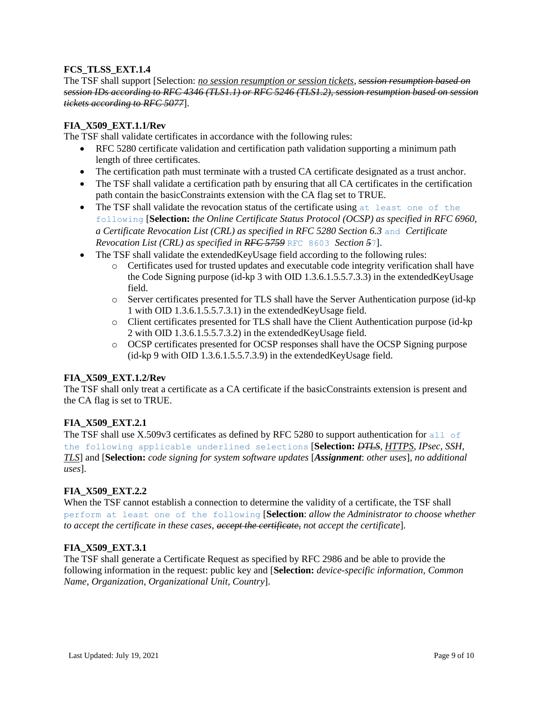# **FCS\_TLSS\_EXT.1.4**

The TSF shall support [Selection: *no session resumption or session tickets, session resumption based on session IDs according to RFC 4346 (TLS1.1) or RFC 5246 (TLS1.2), session resumption based on session tickets according to RFC 5077*].

# **FIA\_X509\_EXT.1.1/Rev**

The TSF shall validate certificates in accordance with the following rules:

- RFC 5280 certificate validation and certification path validation supporting a minimum path length of three certificates.
- The certification path must terminate with a trusted CA certificate designated as a trust anchor.
- The TSF shall validate a certification path by ensuring that all CA certificates in the certification path contain the basicConstraints extension with the CA flag set to TRUE.
- $\bullet$  The TSF shall validate the revocation status of the certificate using at least one of the following [**Selection:** *the Online Certificate Status Protocol (OCSP) as specified in RFC 6960, a Certificate Revocation List (CRL) as specified in RFC 5280 Section 6.3* and *Certificate Revocation List (CRL) as specified in RFC 5759* RFC 8603 *Section 5*7].
- The TSF shall validate the extendedKeyUsage field according to the following rules:
	- o Certificates used for trusted updates and executable code integrity verification shall have the Code Signing purpose (id-kp 3 with OID 1.3.6.1.5.5.7.3.3) in the extendedKeyUsage field.
	- o Server certificates presented for TLS shall have the Server Authentication purpose (id-kp 1 with OID 1.3.6.1.5.5.7.3.1) in the extendedKeyUsage field.
	- o Client certificates presented for TLS shall have the Client Authentication purpose (id-kp 2 with OID 1.3.6.1.5.5.7.3.2) in the extendedKeyUsage field.
	- o OCSP certificates presented for OCSP responses shall have the OCSP Signing purpose (id-kp 9 with OID 1.3.6.1.5.5.7.3.9) in the extendedKeyUsage field.

# **FIA\_X509\_EXT.1.2/Rev**

The TSF shall only treat a certificate as a CA certificate if the basicConstraints extension is present and the CA flag is set to TRUE.

# **FIA\_X509\_EXT.2.1**

The TSF shall use X.509 $\vee$ 3 certificates as defined by RFC 5280 to support authentication for all of the following applicable underlined selections [**Selection:** *DTLS, HTTPS, IPsec, SSH, TLS*] and [**Selection:** *code signing for system software updates* [*Assignment*: *other uses*], *no additional uses*].

#### **FIA\_X509\_EXT.2.2**

When the TSF cannot establish a connection to determine the validity of a certificate, the TSF shall perform at least one of the following [**Selection**: *allow the Administrator to choose whether to accept the certificate in these cases, accept the certificate, not accept the certificate*].

#### **FIA\_X509\_EXT.3.1**

The TSF shall generate a Certificate Request as specified by RFC 2986 and be able to provide the following information in the request: public key and [**Selection:** *device-specific information, Common Name, Organization, Organizational Unit, Country*].